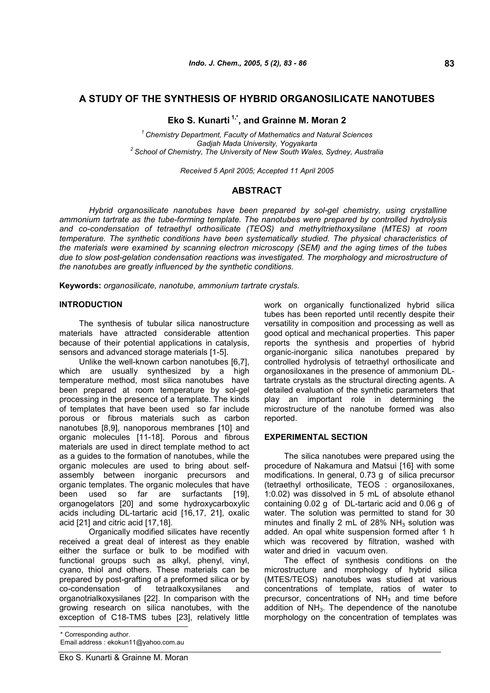# **A STUDY OF THE SYNTHESIS OF HYBRID ORGANOSILICATE NANOTUBES**

## **Eko S. Kunarti 1,\*, and Grainne M. Moran 2**

*<sup>1</sup> Chemistry Department, Faculty of Mathematics and Natural Sciences Gadjah Mada University, Yogyakarta 2 School of Chemistry, The University of New South Wales, Sydney, Australia*

*Received 5 April 2005; Accepted 11 April 2005*

## **ABSTRACT**

*Hybrid organosilicate nanotubes have been prepared by sol-gel chemistry, using crystalline ammonium tartrate as the tube-forming template. The nanotubes were prepared by controlled hydrolysis and co-condensation of tetraethyl orthosilicate (TEOS) and methyltriethoxysilane (MTES) at room temperature. The synthetic conditions have been systematically studied. The physical characteristics of the materials were examined by scanning electron microscopy (SEM) and the aging times of the tubes due to slow post-gelation condensation reactions was investigated. The morphology and microstructure of the nanotubes are greatly influenced by the synthetic conditions.*

**Keywords:** *organosilicate, nanotube, ammonium tartrate crystals.*

## **INTRODUCTION**

The synthesis of tubular silica nanostructure materials have attracted considerable attention because of their potential applications in catalysis, sensors and advanced storage materials [1-5].

Unlike the well-known carbon nanotubes [6,7], which are usually synthesized by a high temperature method, most silica nanotubes have been prepared at room temperature by sol-gel processing in the presence of a template. The kinds of templates that have been used so far include porous or fibrous materials such as carbon nanotubes [8,9], nanoporous membranes [10] and organic molecules [11-18]. Porous and fibrous materials are used in direct template method to act as a guides to the formation of nanotubes, while the organic molecules are used to bring about selfassembly between inorganic precursors and organic templates. The organic molecules that have been used so far are surfactants [19], organogelators [20] and some hydroxycarboxylic acids including DL-tartaric acid [16,17, 21], oxalic acid [21] and citric acid [17,18].

Organically modified silicates have recently received a great deal of interest as they enable either the surface or bulk to be modified with functional groups such as alkyl, phenyl, vinyl, cyano, thiol and others. These materials can be prepared by post-grafting of a preformed silica or by co-condensation of tetraalkoxysilanes and organotrialkoxysilanes [22]. In comparison with the growing research on silica nanotubes, with the exception of C18-TMS tubes [23], relatively little

\* Corresponding author. Email address : ekokun11@yahoo.com.au work on organically functionalized hybrid silica tubes has been reported until recently despite their versatility in composition and processing as well as good optical and mechanical properties. This paper reports the synthesis and properties of hybrid organic-inorganic silica nanotubes prepared by controlled hydrolysis of tetraethyl orthosilicate and organosiloxanes in the presence of ammonium DLtartrate crystals as the structural directing agents. A detailed evaluation of the synthetic parameters that play an important role in determining the microstructure of the nanotube formed was also reported.

## **EXPERIMENTAL SECTION**

The silica nanotubes were prepared using the procedure of Nakamura and Matsui [16] with some modifications. In general, 0.73 g of silica precursor (tetraethyl orthosilicate, TEOS : organosiloxanes, 1:0.02) was dissolved in 5 mL of absolute ethanol containing 0.02 g of DL-tartaric acid and 0.06 g of water. The solution was permitted to stand for 30 minutes and finally 2 mL of 28%  $NH<sub>3</sub>$  solution was added. An opal white suspension formed after 1 h which was recovered by filtration, washed with water and dried in vacuum oven.

The effect of synthesis conditions on the microstructure and morphology of hybrid silica (MTES/TEOS) nanotubes was studied at various concentrations of template, ratios of water to precursor, concentrations of  $NH<sub>3</sub>$  and time before addition of  $NH<sub>3</sub>$ . The dependence of the nanotube morphology on the concentration of templates was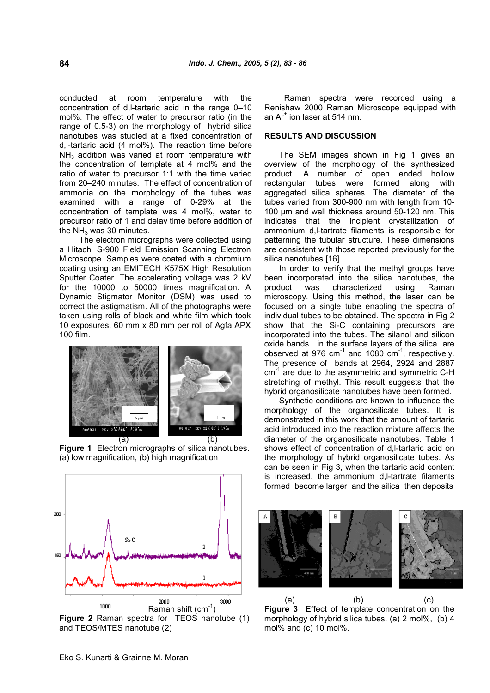conducted at room temperature with the concentration of d,l-tartaric acid in the range 0–10 mol%. The effect of water to precursor ratio (in the range of 0.5-3) on the morphology of hybrid silica nanotubes was studied at a fixed concentration of d,l-tartaric acid (4 mol%). The reaction time before  $NH<sub>3</sub>$  addition was varied at room temperature with the concentration of template at 4 mol% and the ratio of water to precursor 1:1 with the time varied from 20–240 minutes. The effect of concentration of ammonia on the morphology of the tubes was examined with a range of 0-29% at the concentration of template was 4 mol%, water to precursor ratio of 1 and delay time before addition of the  $NH<sub>3</sub>$  was 30 minutes.

The electron micrographs were collected using a Hitachi S-900 Field Emission Scanning Electron Microscope. Samples were coated with a chromium coating using an EMITECH K575X High Resolution Sputter Coater. The accelerating voltage was 2 kV for the 10000 to 50000 times magnification. A product Dynamic Stigmator Monitor (DSM) was used to correct the astigmatism. All of the photographs were taken using rolls of black and white film which took 10 exposures, 60 mm x 80 mm per roll of Agfa APX 100 film.



**Figure 1** Electron micrographs of silica nanotubes. (a) low magnification, (b) high magnification



Raman spectra were recorded using a Renishaw 2000 Raman Microscope equipped with an Ar $^{\text{*}}$  ion laser at 514 nm.

### **RESULTS AND DISCUSSION**

The SEM images shown in Fig 1 gives an overview of the morphology of the synthesized product. A number of open ended hollow rectangular tubes were formed along with aggregated silica spheres. The diameter of the tubes varied from 300-900 nm with length from 10- 100 µm and wall thickness around 50-120 nm. This indicates that the incipient crystallization of ammonium d,l-tartrate filaments is responsible for patterning the tubular structure. These dimensions are consistent with those reported previously for the silica nanotubes [16].

In order to verify that the methyl groups have been incorporated into the silica nanotubes, the was characterized using Raman microscopy. Using this method, the laser can be focused on a single tube enabling the spectra of individual tubes to be obtained. The spectra in Fig 2 show that the Si-C containing precursors are incorporated into the tubes. The silanol and silicon oxide bands in the surface layers of the silica are observed at 976  $cm^{-1}$  and 1080  $cm^{-1}$ , respectively. The presence of bands at 2964, 2924 and 2887 cm<sup>-1</sup> are due to the asymmetric and symmetric C-H stretching of methyl. This result suggests that the hybrid organosilicate nanotubes have been formed.

Synthetic conditions are known to influence the morphology of the organosilicate tubes. It is demonstrated in this work that the amount of tartaric acid introduced into the reaction mixture affects the diameter of the organosilicate nanotubes. Table 1 shows effect of concentration of d,l-tartaric acid on the morphology of hybrid organosilicate tubes. As can be seen in Fig 3, when the tartaric acid content is increased, the ammonium d,l-tartrate filaments formed become larger and the silica then deposits



(a)  $(b)$  (c) **Figure 3** Effect of template concentration on the morphology of hybrid silica tubes. (a) 2 mol%, (b) 4 mol% and (c) 10 mol%.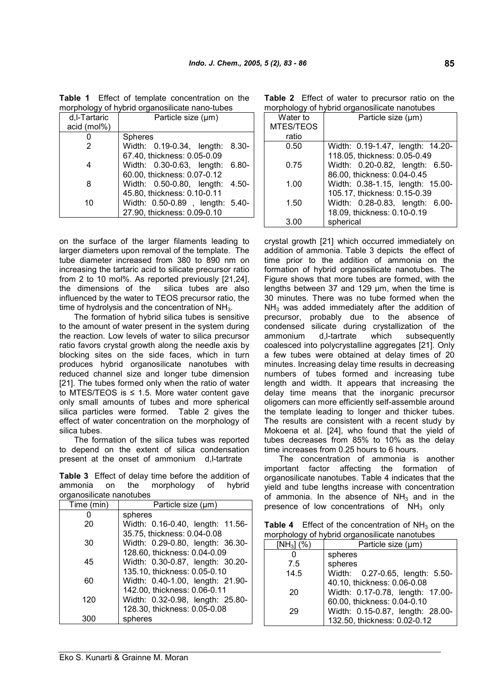| d,I-Tartaric | Particle size (um)                   |
|--------------|--------------------------------------|
| acid (mol%)  |                                      |
|              | <b>Spheres</b>                       |
|              | Width: 0.19-0.34, length:<br>- 8.30- |
|              | 67.40, thickness: 0.05-0.09          |
|              | Width: 0.30-0.63, length:<br>6.80-   |
|              | 60.00, thickness: 0.07-0.12          |
| 8            | Width: 0.50-0.80, length:<br>-4.50-  |
|              | 45.80, thickness: 0.10-0.11          |
| 10           | Width: 0.50-0.89, length: 5.40-      |
|              | 27.90, thickness: 0.09-0.10          |
|              |                                      |

**Table 1** Effect of template concentration on the morphology of hybrid organosilicate nano-tubes

on the surface of the larger filaments leading to larger diameters upon removal of the template. The tube diameter increased from 380 to 890 nm on increasing the tartaric acid to silicate precursor ratio from 2 to 10 mol%. As reported previously [21,24], the dimensions of the silica tubes are also influenced by the water to TEOS precursor ratio, the time of hydrolysis and the concentration of  $NH<sub>3</sub>$ .

The formation of hybrid silica tubes is sensitive to the amount of water present in the system during the reaction. Low levels of water to silica precursor ratio favors crystal growth along the needle axis by blocking sites on the side faces, which in turn produces hybrid organosilicate nanotubes with reduced channel size and longer tube dimension [21]. The tubes formed only when the ratio of water to MTES/TEOS is  $\leq$  1.5. More water content gave only small amounts of tubes and more spherical silica particles were formed. Table 2 gives the effect of water concentration on the morphology of silica tubes.

The formation of the silica tubes was reported to depend on the extent of silica condensation present at the onset of ammonium d,l-tartrate

**Table 3** Effect of delay time before the addition of ammonia on the morphology of hybrid organosilicate nanotubes

| Time (min) | Particle size (µm)               |
|------------|----------------------------------|
|            | spheres                          |
| 20         | Width: 0.16-0.40, length: 11.56- |
|            | 35.75, thickness: 0.04-0.08      |
| 30         | Width: 0.29-0.80, length: 36.30- |
|            | 128.60, thickness: 0.04-0.09     |
| 45         | Width: 0.30-0.87, length: 30.20- |
|            | 135.10, thickness: 0.05-0.10     |
| 60         | Width: 0.40-1.00, length: 21.90- |
|            | 142.00, thickness: 0.06-0.11     |
| 120        | Width: 0.32-0.98, length: 25.80- |
|            | 128.30, thickness: 0.05-0.08     |
| 300        | spheres                          |

**Table 2** Effect of water to precursor ratio on the morphology of hybrid organosilicate nanotubes

|           | $1101$ priorogy of 11yonia organicomodio nanotaboo |
|-----------|----------------------------------------------------|
| Water to  | Particle size (µm)                                 |
| MTES/TEOS |                                                    |
| ratio     |                                                    |
| 0.50      | Width: 0.19-1.47, length: 14.20-                   |
|           | 118.05, thickness: 0.05-0.49                       |
| 0.75      | Width: 0.20-0.82, length: 6.50-                    |
|           | 86.00, thickness: 0.04-0.45                        |
| 1.00      | Width: 0.38-1.15, length: 15.00-                   |
|           | 105.17, thickness: 0.15-0.39                       |
| 1.50      | Width: 0.28-0.83, length: 6.00-                    |
|           | 18.09, thickness: 0.10-0.19                        |
| 3.00      | spherical                                          |

crystal growth [21] which occurred immediately on addition of ammonia. Table 3 depicts the effect of time prior to the addition of ammonia on the formation of hybrid organosilicate nanotubes. The Figure shows that more tubes are formed, with the lengths between 37 and 129 μm, when the time is 30 minutes. There was no tube formed when the  $NH<sub>3</sub>$  was added immediately after the addition of precursor, probably due to the absence of condensed silicate during crystallization of the ammonium d,l-tartrate which subsequently coalesced into polycrystalline aggregates [21]. Only a few tubes were obtained at delay times of 20 minutes. Increasing delay time results in decreasing numbers of tubes formed and increasing tube length and width. It appears that increasing the delay time means that the inorganic precursor oligomers can more efficiently self-assemble around the template leading to longer and thicker tubes. The results are consistent with a recent study by Mokoena et al. [24], who found that the yield of tubes decreases from 85% to 10% as the delay time increases from 0.25 hours to 6 hours.

The concentration of ammonia is another important factor affecting the formation of organosilicate nanotubes. Table 4 indicates that the yield and tube lengths increase with concentration of ammonia. In the absence of  $NH<sub>3</sub>$  and in the presence of low concentrations of  $NH<sub>3</sub>$  only

**Table 4** Effect of the concentration of  $NH<sub>3</sub>$  on the morphology of hybrid organosilicate nanotubes

| $[NH_3]$ (%) | Particle size (µm)               |
|--------------|----------------------------------|
|              | spheres                          |
| 7.5          | spheres                          |
| 14.5         | Width: 0.27-0.65, length: 5.50-  |
|              | 40.10, thickness: 0.06-0.08      |
| 20           | Width: 0.17-0.78, length: 17.00- |
|              | 60.00, thickness: 0.04-0.10      |
| 29           | Width: 0.15-0.87, length: 28.00- |
|              | 132.50, thickness: 0.02-0.12     |